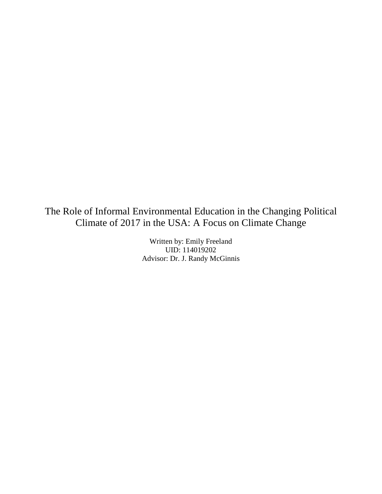The Role of Informal Environmental Education in the Changing Political Climate of 2017 in the USA: A Focus on Climate Change

> Written by: Emily Freeland UID: 114019202 Advisor: Dr. J. Randy McGinnis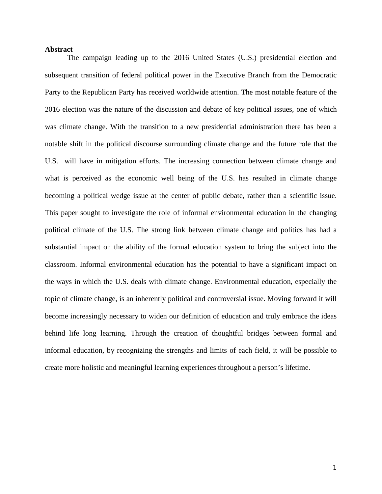### **Abstract**

The campaign leading up to the 2016 United States (U.S.) presidential election and subsequent transition of federal political power in the Executive Branch from the Democratic Party to the Republican Party has received worldwide attention. The most notable feature of the 2016 election was the nature of the discussion and debate of key political issues, one of which was climate change. With the transition to a new presidential administration there has been a notable shift in the political discourse surrounding climate change and the future role that the U.S. will have in mitigation efforts. The increasing connection between climate change and what is perceived as the economic well being of the U.S. has resulted in climate change becoming a political wedge issue at the center of public debate, rather than a scientific issue. This paper sought to investigate the role of informal environmental education in the changing political climate of the U.S. The strong link between climate change and politics has had a substantial impact on the ability of the formal education system to bring the subject into the classroom. Informal environmental education has the potential to have a significant impact on the ways in which the U.S. deals with climate change. Environmental education, especially the topic of climate change, is an inherently political and controversial issue. Moving forward it will become increasingly necessary to widen our definition of education and truly embrace the ideas behind life long learning. Through the creation of thoughtful bridges between formal and informal education, by recognizing the strengths and limits of each field, it will be possible to create more holistic and meaningful learning experiences throughout a person's lifetime.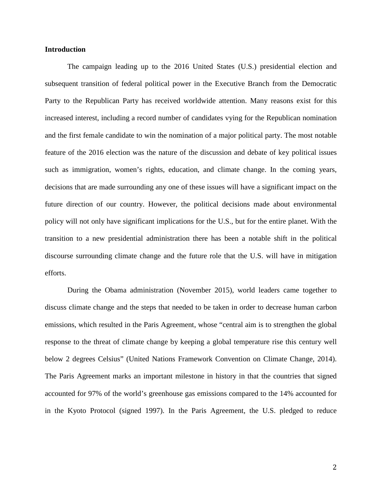# **Introduction**

The campaign leading up to the 2016 United States (U.S.) presidential election and subsequent transition of federal political power in the Executive Branch from the Democratic Party to the Republican Party has received worldwide attention. Many reasons exist for this increased interest, including a record number of candidates vying for the Republican nomination and the first female candidate to win the nomination of a major political party. The most notable feature of the 2016 election was the nature of the discussion and debate of key political issues such as immigration, women's rights, education, and climate change. In the coming years, decisions that are made surrounding any one of these issues will have a significant impact on the future direction of our country. However, the political decisions made about environmental policy will not only have significant implications for the U.S., but for the entire planet. With the transition to a new presidential administration there has been a notable shift in the political discourse surrounding climate change and the future role that the U.S. will have in mitigation efforts.

During the Obama administration (November 2015), world leaders came together to discuss climate change and the steps that needed to be taken in order to decrease human carbon emissions, which resulted in the Paris Agreement, whose "central aim is to strengthen the global response to the threat of climate change by keeping a global temperature rise this century well below 2 degrees Celsius" (United Nations Framework Convention on Climate Change, 2014). The Paris Agreement marks an important milestone in history in that the countries that signed accounted for 97% of the world's greenhouse gas emissions compared to the 14% accounted for in the Kyoto Protocol (signed 1997). In the Paris Agreement, the U.S. pledged to reduce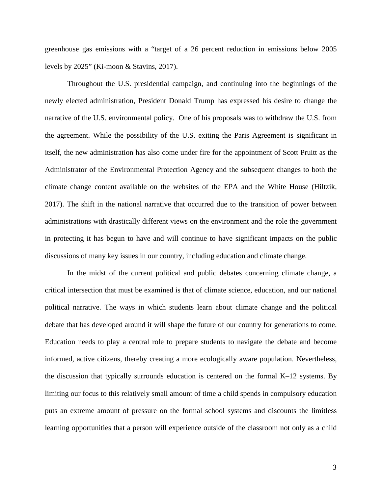greenhouse gas emissions with a "target of a 26 percent reduction in emissions below 2005 levels by 2025" (Ki-moon & Stavins, 2017).

Throughout the U.S. presidential campaign, and continuing into the beginnings of the newly elected administration, President Donald Trump has expressed his desire to change the narrative of the U.S. environmental policy. One of his proposals was to withdraw the U.S. from the agreement. While the possibility of the U.S. exiting the Paris Agreement is significant in itself, the new administration has also come under fire for the appointment of Scott Pruitt as the Administrator of the Environmental Protection Agency and the subsequent changes to both the climate change content available on the websites of the EPA and the White House (Hiltzik, 2017). The shift in the national narrative that occurred due to the transition of power between administrations with drastically different views on the environment and the role the government in protecting it has begun to have and will continue to have significant impacts on the public discussions of many key issues in our country, including education and climate change.

In the midst of the current political and public debates concerning climate change, a critical intersection that must be examined is that of climate science, education, and our national political narrative. The ways in which students learn about climate change and the political debate that has developed around it will shape the future of our country for generations to come. Education needs to play a central role to prepare students to navigate the debate and become informed, active citizens, thereby creating a more ecologically aware population. Nevertheless, the discussion that typically surrounds education is centered on the formal K–12 systems. By limiting our focus to this relatively small amount of time a child spends in compulsory education puts an extreme amount of pressure on the formal school systems and discounts the limitless learning opportunities that a person will experience outside of the classroom not only as a child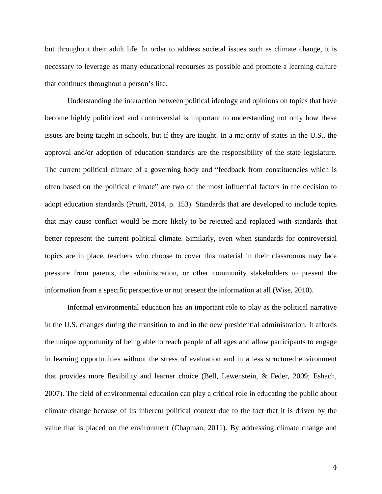but throughout their adult life. In order to address societal issues such as climate change, it is necessary to leverage as many educational recourses as possible and promote a learning culture that continues throughout a person's life.

Understanding the interaction between political ideology and opinions on topics that have become highly politicized and controversial is important to understanding not only how these issues are being taught in schools, but if they are taught. In a majority of states in the U.S., the approval and/or adoption of education standards are the responsibility of the state legislature. The current political climate of a governing body and "feedback from constituencies which is often based on the political climate" are two of the most influential factors in the decision to adopt education standards (Pruitt, 2014, p. 153). Standards that are developed to include topics that may cause conflict would be more likely to be rejected and replaced with standards that better represent the current political climate. Similarly, even when standards for controversial topics are in place, teachers who choose to cover this material in their classrooms may face pressure from parents, the administration, or other community stakeholders to present the information from a specific perspective or not present the information at all (Wise, 2010).

Informal environmental education has an important role to play as the political narrative in the U.S. changes during the transition to and in the new presidential administration. It affords the unique opportunity of being able to reach people of all ages and allow participants to engage in learning opportunities without the stress of evaluation and in a less structured environment that provides more flexibility and learner choice (Bell, Lewenstein, & Feder, 2009; Eshach, 2007). The field of environmental education can play a critical role in educating the public about climate change because of its inherent political context due to the fact that it is driven by the value that is placed on the environment (Chapman, 2011). By addressing climate change and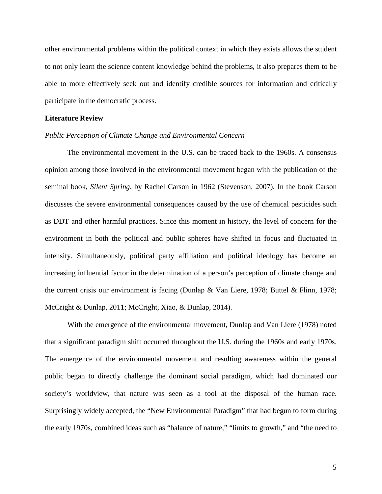other environmental problems within the political context in which they exists allows the student to not only learn the science content knowledge behind the problems, it also prepares them to be able to more effectively seek out and identify credible sources for information and critically participate in the democratic process.

### **Literature Review**

## *Public Perception of Climate Change and Environmental Concern*

The environmental movement in the U.S. can be traced back to the 1960s. A consensus opinion among those involved in the environmental movement began with the publication of the seminal book, *Silent Spring*, by Rachel Carson in 1962 (Stevenson, 2007). In the book Carson discusses the severe environmental consequences caused by the use of chemical pesticides such as DDT and other harmful practices. Since this moment in history, the level of concern for the environment in both the political and public spheres have shifted in focus and fluctuated in intensity. Simultaneously, political party affiliation and political ideology has become an increasing influential factor in the determination of a person's perception of climate change and the current crisis our environment is facing (Dunlap & Van Liere, 1978; Buttel & Flinn, 1978; McCright & Dunlap, 2011; McCright, Xiao, & Dunlap, 2014).

With the emergence of the environmental movement, Dunlap and Van Liere (1978) noted that a significant paradigm shift occurred throughout the U.S. during the 1960s and early 1970s. The emergence of the environmental movement and resulting awareness within the general public began to directly challenge the dominant social paradigm, which had dominated our society's worldview, that nature was seen as a tool at the disposal of the human race. Surprisingly widely accepted, the "New Environmental Paradigm" that had begun to form during the early 1970s, combined ideas such as "balance of nature," "limits to growth," and "the need to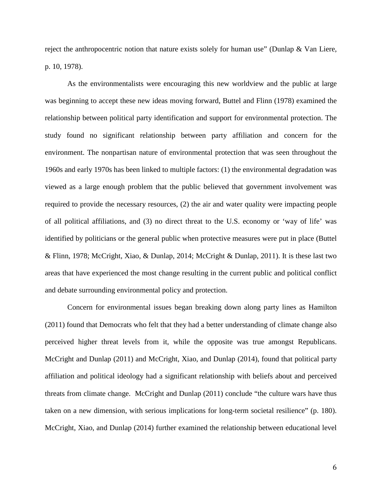reject the anthropocentric notion that nature exists solely for human use" (Dunlap & Van Liere, p. 10, 1978).

As the environmentalists were encouraging this new worldview and the public at large was beginning to accept these new ideas moving forward, Buttel and Flinn (1978) examined the relationship between political party identification and support for environmental protection. The study found no significant relationship between party affiliation and concern for the environment. The nonpartisan nature of environmental protection that was seen throughout the 1960s and early 1970s has been linked to multiple factors: (1) the environmental degradation was viewed as a large enough problem that the public believed that government involvement was required to provide the necessary resources, (2) the air and water quality were impacting people of all political affiliations, and (3) no direct threat to the U.S. economy or 'way of life' was identified by politicians or the general public when protective measures were put in place (Buttel & Flinn, 1978; McCright, Xiao, & Dunlap, 2014; McCright & Dunlap, 2011). It is these last two areas that have experienced the most change resulting in the current public and political conflict and debate surrounding environmental policy and protection.

Concern for environmental issues began breaking down along party lines as Hamilton (2011) found that Democrats who felt that they had a better understanding of climate change also perceived higher threat levels from it, while the opposite was true amongst Republicans. McCright and Dunlap (2011) and McCright, Xiao, and Dunlap (2014), found that political party affiliation and political ideology had a significant relationship with beliefs about and perceived threats from climate change. McCright and Dunlap (2011) conclude "the culture wars have thus taken on a new dimension, with serious implications for long-term societal resilience" (p. 180). McCright, Xiao, and Dunlap (2014) further examined the relationship between educational level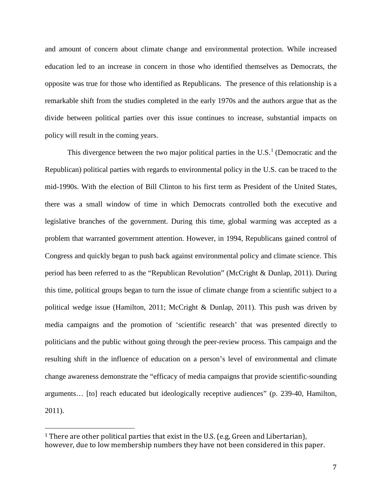and amount of concern about climate change and environmental protection. While increased education led to an increase in concern in those who identified themselves as Democrats, the opposite was true for those who identified as Republicans. The presence of this relationship is a remarkable shift from the studies completed in the early 1970s and the authors argue that as the divide between political parties over this issue continues to increase, substantial impacts on policy will result in the coming years.

This divergence between the two major political parties in the  $U.S.<sup>1</sup>$  $U.S.<sup>1</sup>$  $U.S.<sup>1</sup>$  (Democratic and the Republican) political parties with regards to environmental policy in the U.S. can be traced to the mid-1990s. With the election of Bill Clinton to his first term as President of the United States, there was a small window of time in which Democrats controlled both the executive and legislative branches of the government. During this time, global warming was accepted as a problem that warranted government attention. However, in 1994, Republicans gained control of Congress and quickly began to push back against environmental policy and climate science. This period has been referred to as the "Republican Revolution" (McCright & Dunlap, 2011). During this time, political groups began to turn the issue of climate change from a scientific subject to a political wedge issue (Hamilton, 2011; McCright & Dunlap, 2011). This push was driven by media campaigns and the promotion of 'scientific research' that was presented directly to politicians and the public without going through the peer-review process. This campaign and the resulting shift in the influence of education on a person's level of environmental and climate change awareness demonstrate the "efficacy of media campaigns that provide scientific-sounding arguments… [to] reach educated but ideologically receptive audiences" (p. 239-40, Hamilton, 2011).

<span id="page-7-0"></span><sup>&</sup>lt;sup>1</sup> There are other political parties that exist in the U.S. (e.g, Green and Libertarian), however, due to low membership numbers they have not been considered in this paper.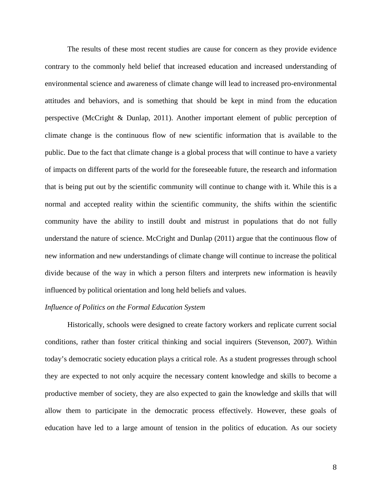The results of these most recent studies are cause for concern as they provide evidence contrary to the commonly held belief that increased education and increased understanding of environmental science and awareness of climate change will lead to increased pro-environmental attitudes and behaviors, and is something that should be kept in mind from the education perspective (McCright & Dunlap, 2011). Another important element of public perception of climate change is the continuous flow of new scientific information that is available to the public. Due to the fact that climate change is a global process that will continue to have a variety of impacts on different parts of the world for the foreseeable future, the research and information that is being put out by the scientific community will continue to change with it. While this is a normal and accepted reality within the scientific community, the shifts within the scientific community have the ability to instill doubt and mistrust in populations that do not fully understand the nature of science. McCright and Dunlap (2011) argue that the continuous flow of new information and new understandings of climate change will continue to increase the political divide because of the way in which a person filters and interprets new information is heavily influenced by political orientation and long held beliefs and values.

# *Influence of Politics on the Formal Education System*

Historically, schools were designed to create factory workers and replicate current social conditions, rather than foster critical thinking and social inquirers (Stevenson, 2007). Within today's democratic society education plays a critical role. As a student progresses through school they are expected to not only acquire the necessary content knowledge and skills to become a productive member of society, they are also expected to gain the knowledge and skills that will allow them to participate in the democratic process effectively. However, these goals of education have led to a large amount of tension in the politics of education. As our society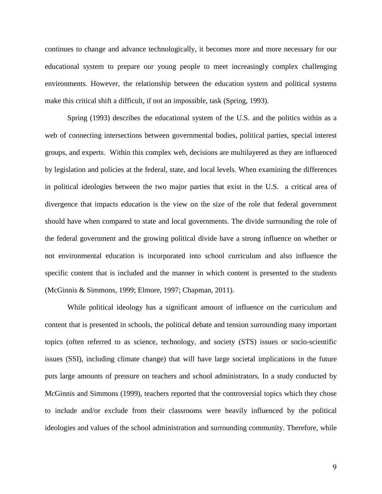continues to change and advance technologically, it becomes more and more necessary for our educational system to prepare our young people to meet increasingly complex challenging environments. However, the relationship between the education system and political systems make this critical shift a difficult, if not an impossible, task (Spring, 1993).

Spring (1993) describes the educational system of the U.S. and the politics within as a web of connecting intersections between governmental bodies, political parties, special interest groups, and experts. Within this complex web, decisions are multilayered as they are influenced by legislation and policies at the federal, state, and local levels. When examining the differences in political ideologies between the two major parties that exist in the U.S. a critical area of divergence that impacts education is the view on the size of the role that federal government should have when compared to state and local governments. The divide surrounding the role of the federal government and the growing political divide have a strong influence on whether or not environmental education is incorporated into school curriculum and also influence the specific content that is included and the manner in which content is presented to the students (McGinnis & Simmons, 1999; Elmore, 1997; Chapman, 2011).

While political ideology has a significant amount of influence on the curriculum and content that is presented in schools, the political debate and tension surrounding many important topics (often referred to as science, technology, and society (STS) issues or socio-scientific issues (SSI), including climate change) that will have large societal implications in the future puts large amounts of pressure on teachers and school administrators. In a study conducted by McGinnis and Simmons (1999), teachers reported that the controversial topics which they chose to include and/or exclude from their classrooms were heavily influenced by the political ideologies and values of the school administration and surrounding community. Therefore, while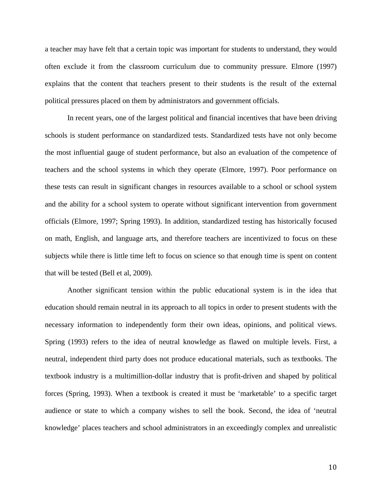a teacher may have felt that a certain topic was important for students to understand, they would often exclude it from the classroom curriculum due to community pressure. Elmore (1997) explains that the content that teachers present to their students is the result of the external political pressures placed on them by administrators and government officials.

In recent years, one of the largest political and financial incentives that have been driving schools is student performance on standardized tests. Standardized tests have not only become the most influential gauge of student performance, but also an evaluation of the competence of teachers and the school systems in which they operate (Elmore, 1997). Poor performance on these tests can result in significant changes in resources available to a school or school system and the ability for a school system to operate without significant intervention from government officials (Elmore, 1997; Spring 1993). In addition, standardized testing has historically focused on math, English, and language arts, and therefore teachers are incentivized to focus on these subjects while there is little time left to focus on science so that enough time is spent on content that will be tested (Bell et al, 2009).

Another significant tension within the public educational system is in the idea that education should remain neutral in its approach to all topics in order to present students with the necessary information to independently form their own ideas, opinions, and political views. Spring (1993) refers to the idea of neutral knowledge as flawed on multiple levels. First, a neutral, independent third party does not produce educational materials, such as textbooks. The textbook industry is a multimillion-dollar industry that is profit-driven and shaped by political forces (Spring, 1993). When a textbook is created it must be 'marketable' to a specific target audience or state to which a company wishes to sell the book. Second, the idea of 'neutral knowledge' places teachers and school administrators in an exceedingly complex and unrealistic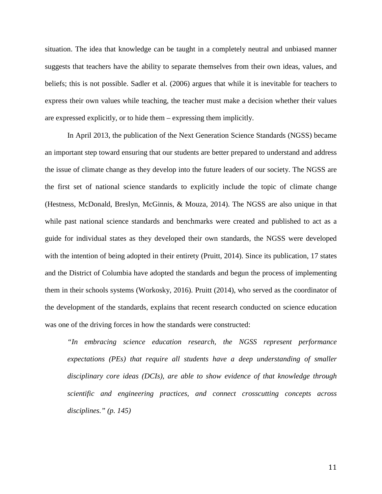situation. The idea that knowledge can be taught in a completely neutral and unbiased manner suggests that teachers have the ability to separate themselves from their own ideas, values, and beliefs; this is not possible. Sadler et al. (2006) argues that while it is inevitable for teachers to express their own values while teaching, the teacher must make a decision whether their values are expressed explicitly, or to hide them – expressing them implicitly.

In April 2013, the publication of the Next Generation Science Standards (NGSS) became an important step toward ensuring that our students are better prepared to understand and address the issue of climate change as they develop into the future leaders of our society. The NGSS are the first set of national science standards to explicitly include the topic of climate change (Hestness, McDonald, Breslyn, McGinnis, & Mouza, 2014). The NGSS are also unique in that while past national science standards and benchmarks were created and published to act as a guide for individual states as they developed their own standards, the NGSS were developed with the intention of being adopted in their entirety (Pruitt, 2014). Since its publication, 17 states and the District of Columbia have adopted the standards and begun the process of implementing them in their schools systems (Workosky, 2016). Pruitt (2014), who served as the coordinator of the development of the standards, explains that recent research conducted on science education was one of the driving forces in how the standards were constructed:

*"In embracing science education research, the NGSS represent performance expectations (PEs) that require all students have a deep understanding of smaller disciplinary core ideas (DCIs), are able to show evidence of that knowledge through scientific and engineering practices, and connect crosscutting concepts across disciplines." (p. 145)*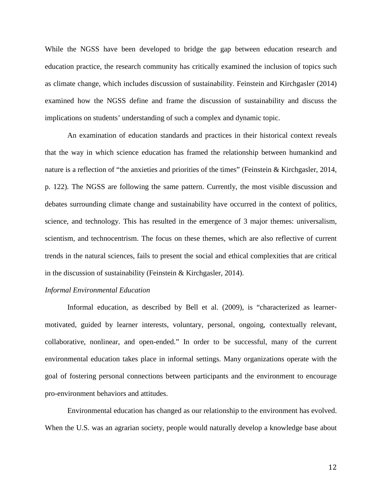While the NGSS have been developed to bridge the gap between education research and education practice, the research community has critically examined the inclusion of topics such as climate change, which includes discussion of sustainability. Feinstein and Kirchgasler (2014) examined how the NGSS define and frame the discussion of sustainability and discuss the implications on students' understanding of such a complex and dynamic topic.

An examination of education standards and practices in their historical context reveals that the way in which science education has framed the relationship between humankind and nature is a reflection of "the anxieties and priorities of the times" (Feinstein & Kirchgasler, 2014, p. 122). The NGSS are following the same pattern. Currently, the most visible discussion and debates surrounding climate change and sustainability have occurred in the context of politics, science, and technology. This has resulted in the emergence of 3 major themes: universalism, scientism, and technocentrism. The focus on these themes, which are also reflective of current trends in the natural sciences, fails to present the social and ethical complexities that are critical in the discussion of sustainability (Feinstein & Kirchgasler, 2014).

### *Informal Environmental Education*

Informal education, as described by Bell et al. (2009), is "characterized as learnermotivated, guided by learner interests, voluntary, personal, ongoing, contextually relevant, collaborative, nonlinear, and open-ended." In order to be successful, many of the current environmental education takes place in informal settings. Many organizations operate with the goal of fostering personal connections between participants and the environment to encourage pro-environment behaviors and attitudes.

Environmental education has changed as our relationship to the environment has evolved. When the U.S. was an agrarian society, people would naturally develop a knowledge base about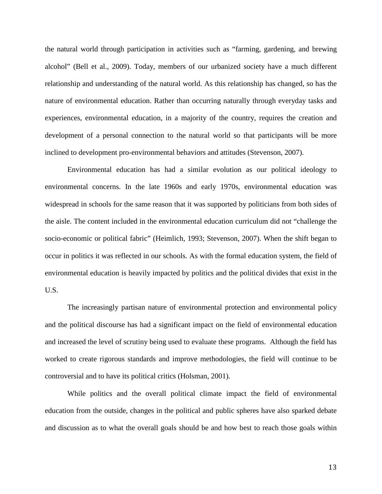the natural world through participation in activities such as "farming, gardening, and brewing alcohol" (Bell et al., 2009). Today, members of our urbanized society have a much different relationship and understanding of the natural world. As this relationship has changed, so has the nature of environmental education. Rather than occurring naturally through everyday tasks and experiences, environmental education, in a majority of the country, requires the creation and development of a personal connection to the natural world so that participants will be more inclined to development pro-environmental behaviors and attitudes (Stevenson, 2007).

Environmental education has had a similar evolution as our political ideology to environmental concerns. In the late 1960s and early 1970s, environmental education was widespread in schools for the same reason that it was supported by politicians from both sides of the aisle. The content included in the environmental education curriculum did not "challenge the socio-economic or political fabric" (Heimlich, 1993; Stevenson, 2007). When the shift began to occur in politics it was reflected in our schools. As with the formal education system, the field of environmental education is heavily impacted by politics and the political divides that exist in the U.S.

The increasingly partisan nature of environmental protection and environmental policy and the political discourse has had a significant impact on the field of environmental education and increased the level of scrutiny being used to evaluate these programs. Although the field has worked to create rigorous standards and improve methodologies, the field will continue to be controversial and to have its political critics (Holsman, 2001).

While politics and the overall political climate impact the field of environmental education from the outside, changes in the political and public spheres have also sparked debate and discussion as to what the overall goals should be and how best to reach those goals within

13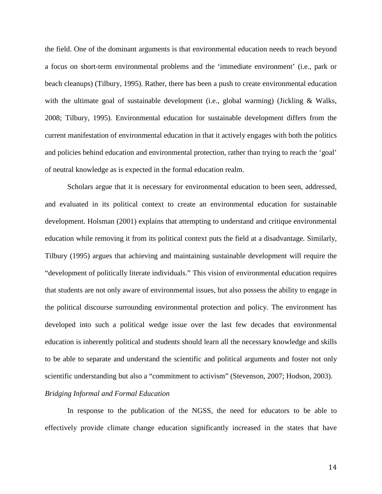the field. One of the dominant arguments is that environmental education needs to reach beyond a focus on short-term environmental problems and the 'immediate environment' (i.e., park or beach cleanups) (Tilbury, 1995). Rather, there has been a push to create environmental education with the ultimate goal of sustainable development (i.e., global warming) (Jickling & Walks, 2008; Tilbury, 1995). Environmental education for sustainable development differs from the current manifestation of environmental education in that it actively engages with both the politics and policies behind education and environmental protection, rather than trying to reach the 'goal' of neutral knowledge as is expected in the formal education realm.

Scholars argue that it is necessary for environmental education to been seen, addressed, and evaluated in its political context to create an environmental education for sustainable development. Holsman (2001) explains that attempting to understand and critique environmental education while removing it from its political context puts the field at a disadvantage. Similarly, Tilbury (1995) argues that achieving and maintaining sustainable development will require the "development of politically literate individuals." This vision of environmental education requires that students are not only aware of environmental issues, but also possess the ability to engage in the political discourse surrounding environmental protection and policy. The environment has developed into such a political wedge issue over the last few decades that environmental education is inherently political and students should learn all the necessary knowledge and skills to be able to separate and understand the scientific and political arguments and foster not only scientific understanding but also a "commitment to activism" (Stevenson, 2007; Hodson, 2003). *Bridging Informal and Formal Education* 

In response to the publication of the NGSS, the need for educators to be able to effectively provide climate change education significantly increased in the states that have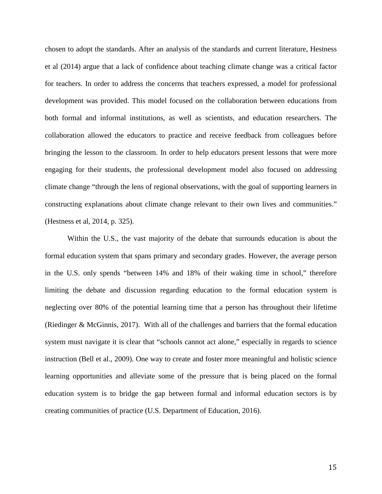chosen to adopt the standards. After an analysis of the standards and current literature, Hestness et al (2014) argue that a lack of confidence about teaching climate change was a critical factor for teachers. In order to address the concerns that teachers expressed, a model for professional development was provided. This model focused on the collaboration between educations from both formal and informal institutions, as well as scientists, and education researchers. The collaboration allowed the educators to practice and receive feedback from colleagues before bringing the lesson to the classroom. In order to help educators present lessons that were more engaging for their students, the professional development model also focused on addressing climate change "through the lens of regional observations, with the goal of supporting learners in constructing explanations about climate change relevant to their own lives and communities." (Hestness et al, 2014, p. 325).

Within the U.S., the vast majority of the debate that surrounds education is about the formal education system that spans primary and secondary grades. However, the average person in the U.S. only spends "between 14% and 18% of their waking time in school," therefore limiting the debate and discussion regarding education to the formal education system is neglecting over 80% of the potential learning time that a person has throughout their lifetime (Riedinger & McGinnis, 2017). With all of the challenges and barriers that the formal education system must navigate it is clear that "schools cannot act alone," especially in regards to science instruction (Bell et al., 2009). One way to create and foster more meaningful and holistic science learning opportunities and alleviate some of the pressure that is being placed on the formal education system is to bridge the gap between formal and informal education sectors is by creating communities of practice (U.S. Department of Education, 2016).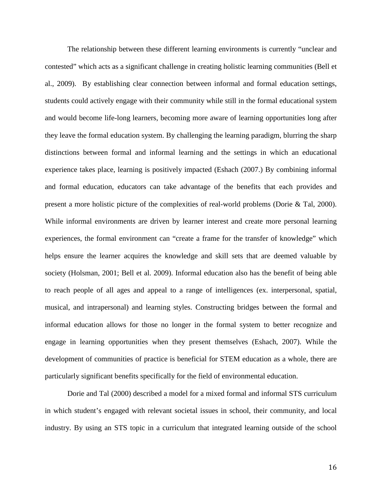The relationship between these different learning environments is currently "unclear and contested" which acts as a significant challenge in creating holistic learning communities (Bell et al., 2009). By establishing clear connection between informal and formal education settings, students could actively engage with their community while still in the formal educational system and would become life-long learners, becoming more aware of learning opportunities long after they leave the formal education system. By challenging the learning paradigm, blurring the sharp distinctions between formal and informal learning and the settings in which an educational experience takes place, learning is positively impacted (Eshach (2007.) By combining informal and formal education, educators can take advantage of the benefits that each provides and present a more holistic picture of the complexities of real-world problems (Dorie & Tal, 2000). While informal environments are driven by learner interest and create more personal learning experiences, the formal environment can "create a frame for the transfer of knowledge" which helps ensure the learner acquires the knowledge and skill sets that are deemed valuable by society (Holsman, 2001; Bell et al. 2009). Informal education also has the benefit of being able to reach people of all ages and appeal to a range of intelligences (ex. interpersonal, spatial, musical, and intrapersonal) and learning styles. Constructing bridges between the formal and informal education allows for those no longer in the formal system to better recognize and engage in learning opportunities when they present themselves (Eshach, 2007). While the development of communities of practice is beneficial for STEM education as a whole, there are particularly significant benefits specifically for the field of environmental education.

Dorie and Tal (2000) described a model for a mixed formal and informal STS curriculum in which student's engaged with relevant societal issues in school, their community, and local industry. By using an STS topic in a curriculum that integrated learning outside of the school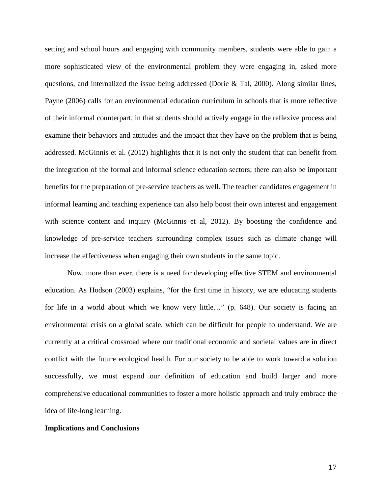setting and school hours and engaging with community members, students were able to gain a more sophisticated view of the environmental problem they were engaging in, asked more questions, and internalized the issue being addressed (Dorie & Tal, 2000). Along similar lines, Payne (2006) calls for an environmental education curriculum in schools that is more reflective of their informal counterpart, in that students should actively engage in the reflexive process and examine their behaviors and attitudes and the impact that they have on the problem that is being addressed. McGinnis et al. (2012) highlights that it is not only the student that can benefit from the integration of the formal and informal science education sectors; there can also be important benefits for the preparation of pre-service teachers as well. The teacher candidates engagement in informal learning and teaching experience can also help boost their own interest and engagement with science content and inquiry (McGinnis et al, 2012). By boosting the confidence and knowledge of pre-service teachers surrounding complex issues such as climate change will increase the effectiveness when engaging their own students in the same topic.

Now, more than ever, there is a need for developing effective STEM and environmental education. As Hodson (2003) explains, "for the first time in history, we are educating students for life in a world about which we know very little…" (p. 648). Our society is facing an environmental crisis on a global scale, which can be difficult for people to understand. We are currently at a critical crossroad where our traditional economic and societal values are in direct conflict with the future ecological health. For our society to be able to work toward a solution successfully, we must expand our definition of education and build larger and more comprehensive educational communities to foster a more holistic approach and truly embrace the idea of life-long learning.

# **Implications and Conclusions**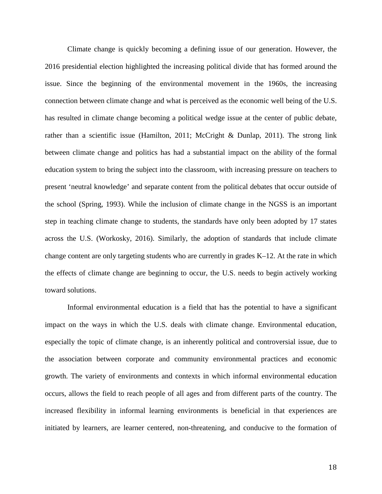Climate change is quickly becoming a defining issue of our generation. However, the 2016 presidential election highlighted the increasing political divide that has formed around the issue. Since the beginning of the environmental movement in the 1960s, the increasing connection between climate change and what is perceived as the economic well being of the U.S. has resulted in climate change becoming a political wedge issue at the center of public debate, rather than a scientific issue (Hamilton, 2011; McCright & Dunlap, 2011). The strong link between climate change and politics has had a substantial impact on the ability of the formal education system to bring the subject into the classroom, with increasing pressure on teachers to present 'neutral knowledge' and separate content from the political debates that occur outside of the school (Spring, 1993). While the inclusion of climate change in the NGSS is an important step in teaching climate change to students, the standards have only been adopted by 17 states across the U.S. (Workosky, 2016). Similarly, the adoption of standards that include climate change content are only targeting students who are currently in grades K–12. At the rate in which the effects of climate change are beginning to occur, the U.S. needs to begin actively working toward solutions.

Informal environmental education is a field that has the potential to have a significant impact on the ways in which the U.S. deals with climate change. Environmental education, especially the topic of climate change, is an inherently political and controversial issue, due to the association between corporate and community environmental practices and economic growth. The variety of environments and contexts in which informal environmental education occurs, allows the field to reach people of all ages and from different parts of the country. The increased flexibility in informal learning environments is beneficial in that experiences are initiated by learners, are learner centered, non-threatening, and conducive to the formation of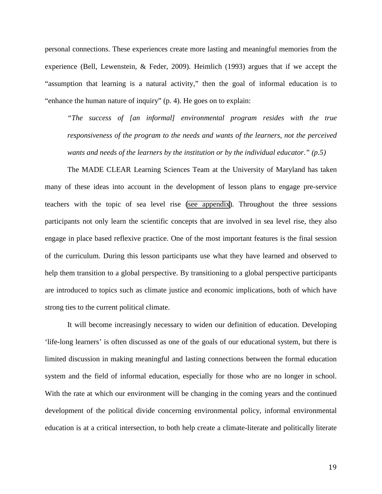personal connections. These experiences create more lasting and meaningful memories from the experience (Bell, Lewenstein, & Feder, 2009). Heimlich (1993) argues that if we accept the "assumption that learning is a natural activity," then the goal of informal education is to "enhance the human nature of inquiry" (p. 4). He goes on to explain:

*"The success of [an informal] environmental program resides with the true responsiveness of the program to the needs and wants of the learners, not the perceived wants and needs of the learners by the institution or by the individual educator." (p.5)*

The MADE CLEAR Learning Sciences Team at the University of Maryland has taken many of these ideas into account in the development of lesson plans to engage pre-service teachers with the topic of sea level rise [\(see appendix](http://www.climateedresearch.org/publications/2017/Freeland-Spring-2017-Appendix-SLR.pdf)). Throughout the three sessions participants not only learn the scientific concepts that are involved in sea level rise, they also engage in place based reflexive practice. One of the most important features is the final session of the curriculum. During this lesson participants use what they have learned and observed to help them transition to a global perspective. By transitioning to a global perspective participants are introduced to topics such as climate justice and economic implications, both of which have strong ties to the current political climate.

It will become increasingly necessary to widen our definition of education. Developing 'life-long learners' is often discussed as one of the goals of our educational system, but there is limited discussion in making meaningful and lasting connections between the formal education system and the field of informal education, especially for those who are no longer in school. With the rate at which our environment will be changing in the coming years and the continued development of the political divide concerning environmental policy, informal environmental education is at a critical intersection, to both help create a climate-literate and politically literate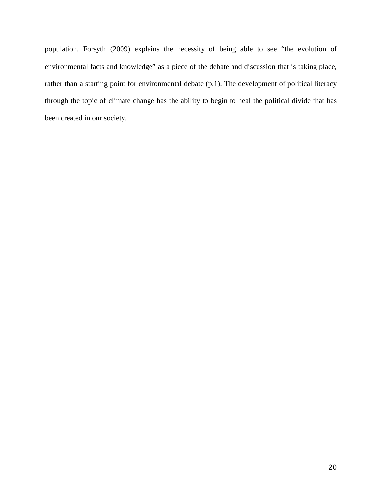population. Forsyth (2009) explains the necessity of being able to see "the evolution of environmental facts and knowledge" as a piece of the debate and discussion that is taking place, rather than a starting point for environmental debate (p.1). The development of political literacy through the topic of climate change has the ability to begin to heal the political divide that has been created in our society.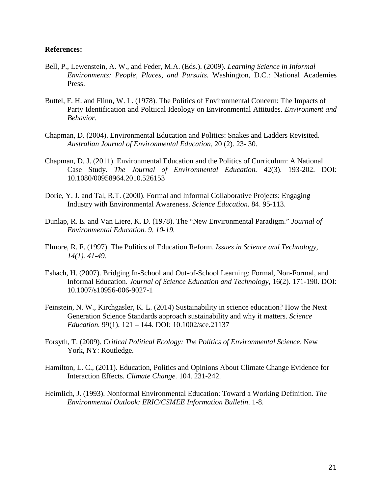# **References:**

- Bell, P., Lewenstein, A. W., and Feder, M.A. (Eds.). (2009). *Learning Science in Informal Environments: People, Places, and Pursuits.* Washington, D.C.: National Academies Press.
- Buttel, F. H. and Flinn, W. L. (1978). The Politics of Environmental Concern: The Impacts of Party Identification and Poltiical Ideology on Environmental Attitudes. *Environment and Behavior.*
- Chapman, D. (2004). Environmental Education and Politics: Snakes and Ladders Revisited. *Australian Journal of Environmental Education*, 20 (2). 23- 30.
- Chapman, D. J. (2011). Environmental Education and the Politics of Curriculum: A National Case Study. *The Journal of Environmental Education.* 42(3). 193-202. DOI: 10.1080/00958964.2010.526153
- Dorie, Y. J. and Tal, R.T. (2000). Formal and Informal Collaborative Projects: Engaging Industry with Environmental Awareness. *Science Education.* 84. 95-113.
- Dunlap, R. E. and Van Liere, K. D. (1978). The "New Environmental Paradigm." *Journal of Environmental Education. 9. 10-19.*
- Elmore, R. F. (1997). The Politics of Education Reform. *Issues in Science and Technology, 14(1). 41-49.*
- Eshach, H. (2007). Bridging In-School and Out-of-School Learning: Formal, Non-Formal, and Informal Education. *Journal of Science Education and Technology*, 16(2). 171-190. DOI: 10.1007/s10956-006-9027-1
- Feinstein, N. W., Kirchgasler, K. L. (2014) Sustainability in science education? How the Next Generation Science Standards approach sustainability and why it matters. *Science Education.* 99(1), 121 – 144. DOI: 10.1002/sce.21137
- Forsyth, T. (2009). *Critical Political Ecology: The Politics of Environmental Science*. New York, NY: Routledge.
- Hamilton, L. C., (2011). Education, Politics and Opinions About Climate Change Evidence for Interaction Effects. *Climate Change.* 104. 231-242.
- Heimlich, J. (1993). Nonformal Environmental Education: Toward a Working Definition. *The Environmental Outlook: ERIC/CSMEE Information Bulletin*. 1-8.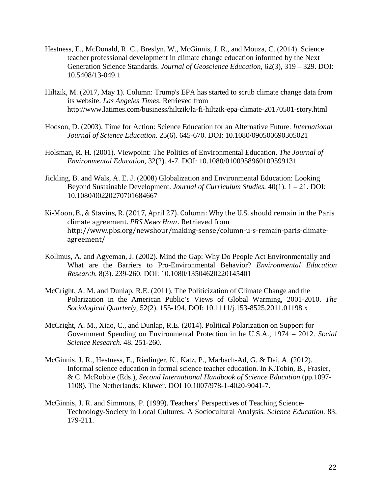- Hestness, E., McDonald, R. C., Breslyn, W., McGinnis, J. R., and Mouza, C. (2014). Science teacher professional development in climate change education informed by the Next Generation Science Standards. *Journal of Geoscience Education*, 62(3), 319 – 329. DOI: 10.5408/13-049.1
- Hiltzik, M. (2017, May 1). Column: Trump's EPA has started to scrub climate change data from its website. *Las Angeles Times*. Retrieved from http://www.latimes.com/business/hiltzik/la-fi-hiltzik-epa-climate-20170501-story.html
- Hodson, D. (2003). Time for Action: Science Education for an Alternative Future. *International Journal of Science Education.* 25(6). 645-670. DOI: 10.1080/090500690305021
- Holsman, R. H. (2001). Viewpoint: The Politics of Environmental Education. *The Journal of Environmental Education,* 32(2). 4-7. DOI: 10.1080/0100958960109599131
- Jickling, B. and Wals, A. E. J. (2008) Globalization and Environmental Education: Looking Beyond Sustainable Development. *Journal of Curriculum Studies.* 40(1). 1 – 21. DOI: 10.1080/00220270701684667
- Ki-Moon, B., & Stavins, R. (2017, April 27). Column: Why the U.S. should remain in the Paris climate agreement. *PBS News Hour*. Retrieved from http://www.pbs.org/newshour/making-sense/column-u-s-remain-paris-climateagreement/
- Kollmus, A. and Agyeman, J. (2002). Mind the Gap: Why Do People Act Environmentally and What are the Barriers to Pro-Environmental Behavior? *Environmental Education Research.* 8(3). 239-260. DOI: 10.1080/13504620220145401
- McCright, A. M. and Dunlap, R.E. (2011). The Politicization of Climate Change and the Polarization in the American Public's Views of Global Warming, 2001-2010. *The Sociological Quarterly*, 52(2). 155-194. DOI: 10.1111/j.153-8525.2011.01198.x
- McCright, A. M., Xiao, C., and Dunlap, R.E. (2014). Political Polarization on Support for Government Spending on Environmental Protection in he U.S.A., 1974 – 2012. *Social Science Research.* 48. 251-260.
- McGinnis, J. R., Hestness, E., Riedinger, K., Katz, P., Marbach-Ad, G. & Dai, A. (2012). Informal science education in formal science teacher education. In K.Tobin, B., Frasier, & C. McRobbie (Eds.), *Second International Handbook of Science Education* (pp*.*1097- 1108). The Netherlands: Kluwer. DOI 10.1007/978-1-4020-9041-7.
- McGinnis, J. R. and Simmons, P. (1999). Teachers' Perspectives of Teaching Science-Technology-Society in Local Cultures: A Sociocultural Analysis*. Science Education.* 83. 179-211.